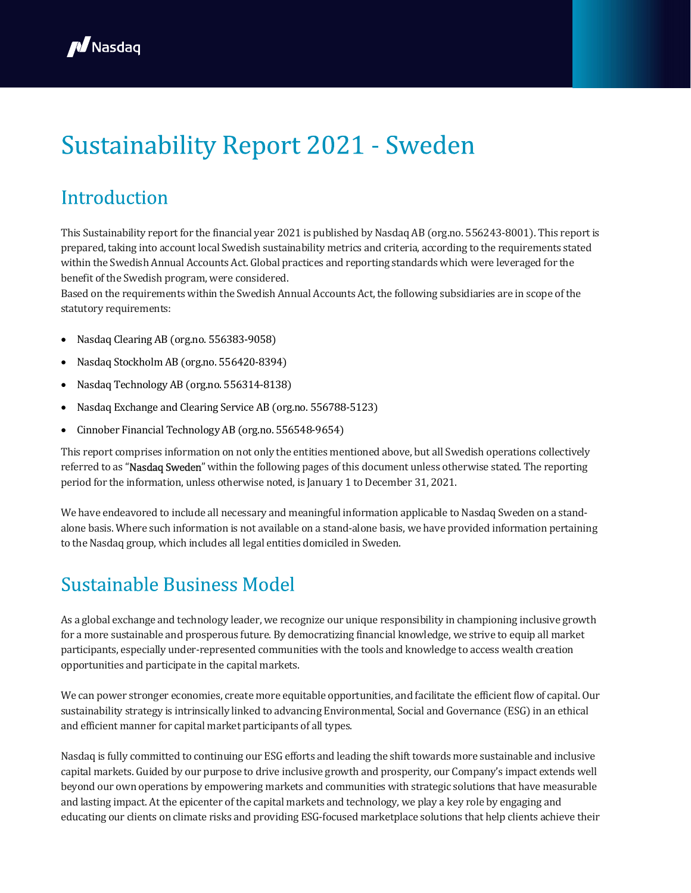

# **Sustainability Report 2021 - Sweden**

### Introduction

This Sustainability report for the financial year 2021 is published by Nasdaq AB (org.no. 556243-8001). This report is prepared, taking into account local Swedish sustainability metrics and criteria, according to the requirements stated within the Swedish Annual Accounts Act. Global practices and reporting standards which were leveraged for the benefit of the Swedish program, were considered.

Based on the requirements within the Swedish Annual Accounts Act, the following subsidiaries are in scope of the statutory requirements:

- Nasdaq Clearing AB (org.no. 556383-9058)
- Nasdaq Stockholm AB (org.no. 556420-8394)
- Nasdaq Technology AB (org.no. 556314-8138)
- Nasdaq Exchange and Clearing Service AB (org.no. 556788-5123)
- Cinnober Financial Technology AB (org.no. 556548-9654)

This report comprises information on not only the entities mentioned above, but all Swedish operations collectively referred to as "Nasdaq Sweden" within the following pages of this document unless otherwise stated. The reporting period for the information, unless otherwise noted, is January 1 to December 31, 2021.

We have endeavored to include all necessary and meaningful information applicable to Nasdaq Sweden on a standalone basis. Where such information is not available on a stand-alone basis, we have provided information pertaining to the Nasdaq group, which includes all legal entities domiciled in Sweden.

### **Sustainable Business Model**

As a global exchange and technology leader, we recognize our unique responsibility in championing inclusive growth for a more sustainable and prosperous future. By democratizing financial knowledge, we strive to equip all market participants, especially under-represented communities with the tools and knowledge to access wealth creation opportunities and participate in the capital markets.

We can power stronger economies, create more equitable opportunities, and facilitate the efficient flow of capital. Our sustainability strategy is intrinsically linked to advancing Environmental, Social and Governance (ESG) in an ethical and efficient manner for capital market participants of all types.

Nasdaq is fully committed to continuing our ESG efforts and leading the shift towards more sustainable and inclusive capital markets. Guided by our purpose to drive inclusive growth and prosperity, our Company's impact extends well beyond our own operations by empowering markets and communities with strategic solutions that have measurable and lasting impact. At the epicenter of the capital markets and technology, we play a key role by engaging and educating our clients on climate risks and providing ESG-focused marketplace solutions that help clients achieve their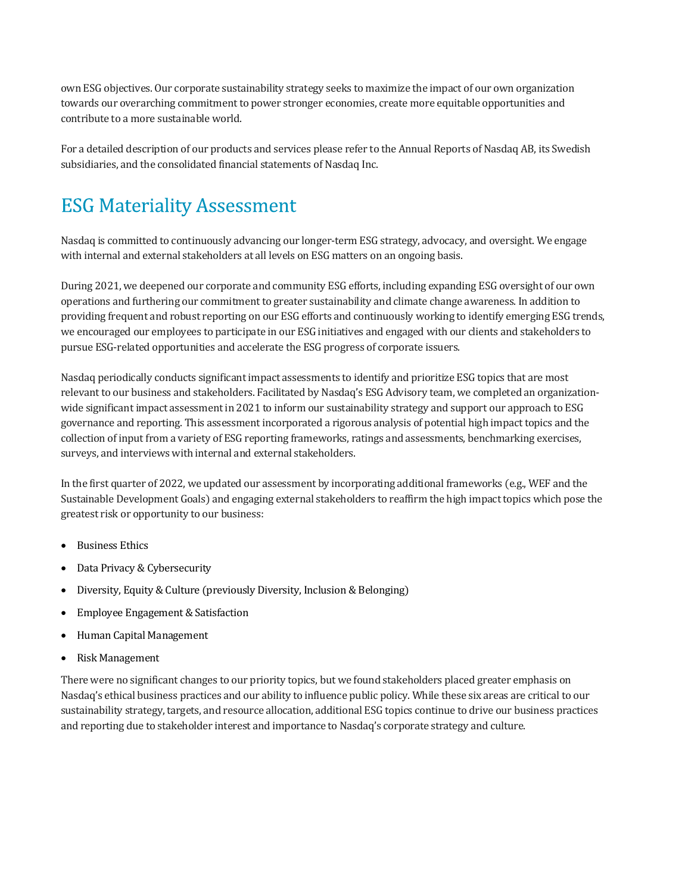own ESG objectives. Our corporate sustainability strategy seeks to maximize the impact of our own organization towards our overarching commitment to power stronger economies, create more equitable opportunities and contribute to a more sustainable world.

For a detailed description of our products and services please refer to the Annual Reports of Nasdaq AB, its Swedish subsidiaries, and the consolidated financial statements of Nasdaq Inc.

# **ESG Materiality Assessment**

Nasdaq is committed to continuously advancing our longer-term ESG strategy, advocacy, and oversight. We engage with internal and external stakeholders at all levels on ESG matters on an ongoing basis.

During 2021, we deepened our corporate and community ESG efforts, including expanding ESG oversight of our own operations and furthering our commitment to greater sustainability and climate change awareness. In addition to providing frequent and robust reporting on our ESG efforts and continuously working to identify emerging ESG trends, we encouraged our employees to participate in our ESG initiatives and engaged with our clients and stakeholders to pursue ESG-related opportunities and accelerate the ESG progress of corporate issuers.

Nasdaq periodically conducts significant impact assessments to identify and prioritize ESG topics that are most relevant to our business and stakeholders. Facilitated by Nasdaq's ESG Advisory team, we completed an organizationwide significant impact assessment in 2021 to inform our sustainability strategy and support our approach to ESG governance and reporting. This assessment incorporated a rigorous analysis of potential high impact topics and the collection of input from a variety of ESG reporting frameworks, ratings and assessments, benchmarking exercises, surveys, and interviews with internal and external stakeholders.

In the first quarter of 2022, we updated our assessment by incorporating additional frameworks (e.g., WEF and the Sustainable Development Goals) and engaging external stakeholders to reaffirm the high impact topics which pose the greatest risk or opportunity to our business:

- Business Ethics
- Data Privacy & Cybersecurity
- Diversity, Equity & Culture (previously Diversity, Inclusion & Belonging)
- Employee Engagement & Satisfaction
- Human Capital Management
- Risk Management

There were no significant changes to our priority topics, but we found stakeholders placed greater emphasis on Nasdaq's ethical business practices and our ability to influence public policy. While these six areas are critical to our sustainability strategy, targets, and resource allocation, additional ESG topics continue to drive our business practices and reporting due to stakeholder interest and importance to Nasdaq's corporate strategy and culture.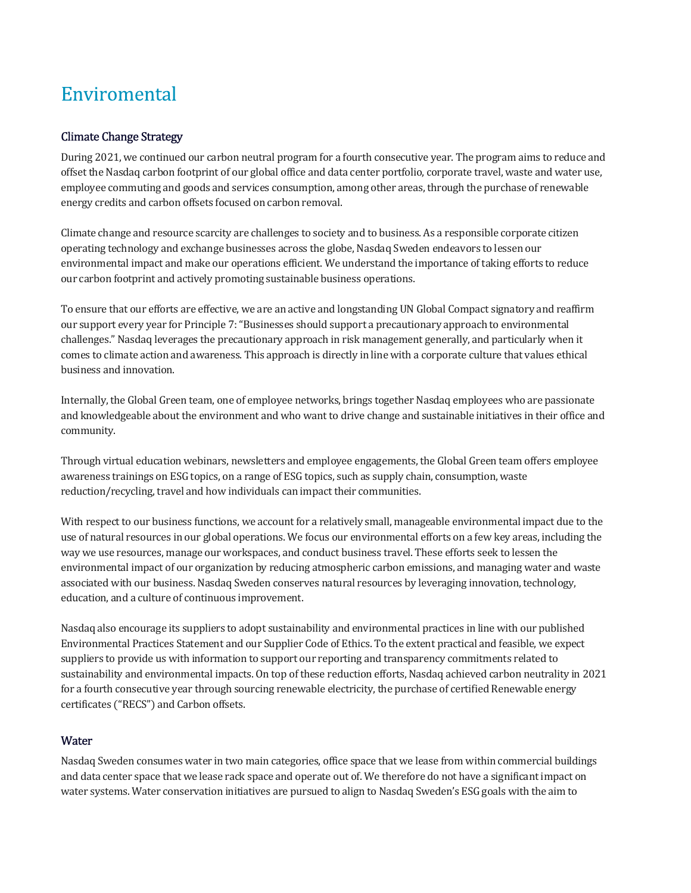# Enviromental

#### Climate Change Strategy

During 2021, we continued our carbon neutral program for a fourth consecutive year. The program aims to reduce and offset the Nasdaq carbon footprint of our global office and data center portfolio, corporate travel, waste and water use, employee commuting and goods and services consumption, among other areas, through the purchase of renewable energy credits and carbon offsets focused on carbon removal.

Climate change and resource scarcity are challenges to society and to business. As a responsible corporate citizen operating technology and exchange businesses across the globe, Nasdaq Sweden endeavors to lessen our environmental impact and make our operations efficient. We understand the importance of taking efforts to reduce our carbon footprint and actively promoting sustainable business operations.

To ensure that our efforts are effective, we are an active and longstanding UN Global Compact signatory and reaffirm our support every year for Principle 7: "Businesses should support a precautionary approach to environmental challenges." Nasdaq leverages the precautionary approach in risk management generally, and particularly when it comes to climate action and awareness. This approach is directly in line with a corporate culture that values ethical business and innovation.

Internally, the Global Green team, one of employee networks, brings together Nasdaq employees who are passionate and knowledgeable about the environment and who want to drive change and sustainable initiatives in their office and community.

Through virtual education webinars, newsletters and employee engagements, the Global Green team offers employee awareness trainings on ESG topics, on a range of ESG topics, such as supply chain, consumption, waste reduction/recycling, travel and how individuals can impact their communities.

With respect to our business functions, we account for a relatively small, manageable environmental impact due to the use of natural resources in our global operations. We focus our environmental efforts on a few key areas, including the way we use resources, manage our workspaces, and conduct business travel. These efforts seek to lessen the environmental impact of our organization by reducing atmospheric carbon emissions, and managing water and waste associated with our business. Nasdaq Sweden conserves natural resources by leveraging innovation, technology, education, and a culture of continuous improvement.

Nasdaq also encourage its suppliers to adopt sustainability and environmental practices in line with our published Environmental Practices Statement and our Supplier Code of Ethics. To the extent practical and feasible, we expect suppliers to provide us with information to support our reporting and transparency commitments related to sustainability and environmental impacts. On top of these reduction efforts, Nasdaq achieved carbon neutrality in 2021 for a fourth consecutive year through sourcing renewable electricity, the purchase of certified Renewable energy certificates ("RECS") and Carbon offsets.

#### **Water**

Nasdaq Sweden consumes water in two main categories, office space that we lease from within commercial buildings and data center space that we lease rack space and operate out of. We therefore do not have a significant impact on water systems. Water conservation initiatives are pursued to align to Nasdaq Sweden's ESG goals with the aim to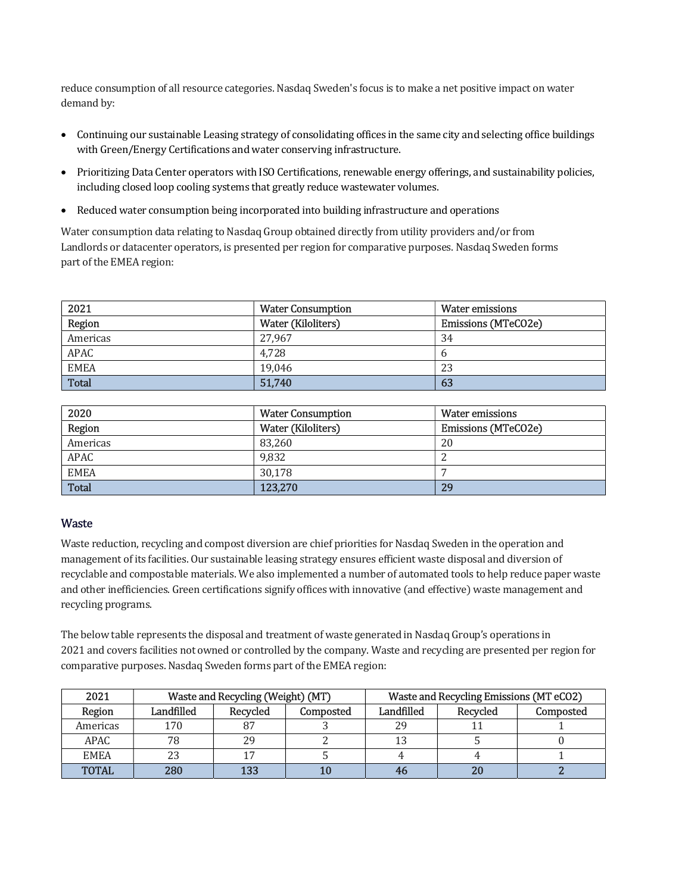reduce consumption of all resource categories. Nasdaq Sweden's focus is to make a net positive impact on water demand by:

- Continuing our sustainable Leasing strategy of consolidating offices in the same city and selecting office buildings with Green/Energy Certifications and water conserving infrastructure.
- Prioritizing Data Center operators with ISO Certifications, renewable energy offerings, and sustainability policies, including closed loop cooling systems that greatly reduce wastewater volumes.
- Reduced water consumption being incorporated into building infrastructure and operations

Water consumption data relating to Nasdaq Group obtained directly from utility providers and/or from Landlords or datacenter operators, is presented per region for comparative purposes. Nasdaq Sweden forms part of the EMEA region:

| 2021         | <b>Water Consumption</b> | Water emissions            |
|--------------|--------------------------|----------------------------|
| Region       | Water (Kiloliters)       | <b>Emissions (MTeCO2e)</b> |
| Americas     | 27.967                   | 34                         |
| <b>APAC</b>  | 4.728                    | n                          |
| <b>EMEA</b>  | 19.046                   | 23                         |
| <b>Total</b> | 51,740                   | 63                         |

| 2020         | <b>Water Consumption</b> | Water emissions            |
|--------------|--------------------------|----------------------------|
| Region       | Water (Kiloliters)       | <b>Emissions (MTeCO2e)</b> |
| Americas     | 83.260                   | 20                         |
| <b>APAC</b>  | 9,832                    |                            |
| <b>EMEA</b>  | 30,178                   |                            |
| <b>Total</b> | 123,270                  | 29                         |

#### **Waste**

Waste reduction, recycling and compost diversion are chief priorities for Nasdaq Sweden in the operation and management of its facilities. Our sustainable leasing strategy ensures efficient waste disposal and diversion of recyclable and compostable materials. We also implemented a number of automated tools to help reduce paper waste and other inefficiencies. Green certifications signify offices with innovative (and effective) waste management and recycling programs.

The below table represents the disposal and treatment of waste generated in Nasdaq Group's operations in 2021 and covers facilities not owned or controlled by the company. Waste and recycling are presented per region for comparative purposes. Nasdaq Sweden forms part of the EMEA region:

| 2021         | Waste and Recycling (Weight) (MT) |          |           | Waste and Recycling Emissions (MT eCO2) |          |           |
|--------------|-----------------------------------|----------|-----------|-----------------------------------------|----------|-----------|
| Region       | Landfilled                        | Recycled | Composted | Landfilled                              | Recycled | Composted |
| Americas     | 170                               | 87       |           | 29                                      |          |           |
| APAC         |                                   | 29       |           |                                         |          |           |
| <b>EMEA</b>  |                                   |          |           |                                         |          |           |
| <b>TOTAL</b> | 280                               | 133      | 10        |                                         |          |           |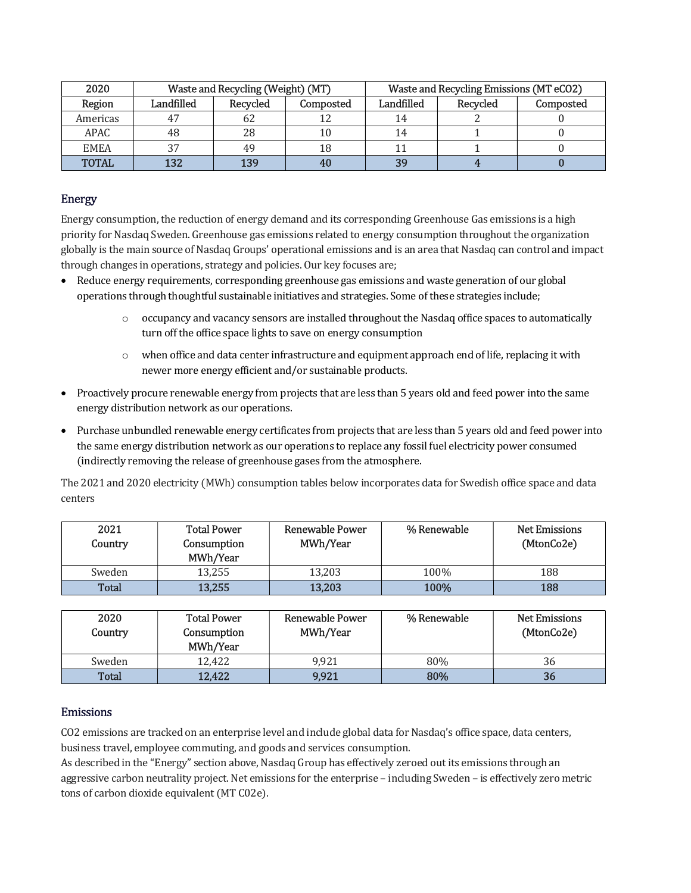| 2020         | Waste and Recycling (Weight) (MT) |          | Waste and Recycling Emissions (MT eCO2) |                |          |           |
|--------------|-----------------------------------|----------|-----------------------------------------|----------------|----------|-----------|
| Region       | Landfilled                        | Recycled | Composted                               | Landfilled     | Recycled | Composted |
| Americas     |                                   | 62       |                                         |                |          |           |
| APAC.        |                                   | 28       | 10                                      |                |          |           |
| <b>EMEA</b>  |                                   | 49       | 18                                      |                |          |           |
| <b>TOTAL</b> | 132                               | 139      | 40                                      | 3 <sup>o</sup> |          |           |

#### Energy

Energy consumption, the reduction of energy demand and its corresponding Greenhouse Gas emissions is a high priority for Nasdaq Sweden. Greenhouse gas emissions related to energy consumption throughout the organization globally is the main source of Nasdaq Groups' operational emissions and is an area that Nasdaq can control and impact through changes in operations, strategy and policies. Our key focuses are;

- Reduce energy requirements, corresponding greenhouse gas emissions and waste generation of our global operations through thoughtful sustainable initiatives and strategies. Some of these strategies include;
	- $\circ$  occupancy and vacancy sensors are installed throughout the Nasdaq office spaces to automatically turn off the office space lights to save on energy consumption
	- $\circ$  when office and data center infrastructure and equipment approach end of life, replacing it with newer more energy efficient and/or sustainable products.
- Proactively procure renewable energy from projects that are less than 5 years old and feed power into the same energy distribution network as our operations.
- Purchase unbundled renewable energy certificates from projects that are less than 5 years old and feed power into the same energy distribution network as our operations to replace any fossil fuel electricity power consumed (indirectly removing the release of greenhouse gases from the atmosphere.

The 2021 and 2020 electricity (MWh) consumption tables below incorporates data for Swedish office space and data centers

| 2021<br>Country | <b>Total Power</b><br>Consumption<br>MWh/Year | <b>Renewable Power</b><br>MWh/Year | % Renewable | <b>Net Emissions</b><br>(MtonCo2e) |
|-----------------|-----------------------------------------------|------------------------------------|-------------|------------------------------------|
| Sweden          | 13,255                                        | 13,203                             | 100%        | 188                                |
| Total           | 13,255                                        | 13,203                             | 100%        | 188                                |

| 2020<br>Country | <b>Total Power</b><br>Consumption<br>MWh/Year | Renewable Power<br>MWh/Year | % Renewable | <b>Net Emissions</b><br>(MtonCo2e) |
|-----------------|-----------------------------------------------|-----------------------------|-------------|------------------------------------|
| Sweden          | 12.422                                        | 9.921                       | 80%         | 36                                 |
| Total           | 12,422                                        | 9,921                       | 80%         | 36                                 |

#### Emissions

CO2 emissions are tracked on an enterprise level and include global data for Nasdaq's office space, data centers, business travel, employee commuting, and goods and services consumption.

As described in the "Energy" section above, Nasdaq Group has effectively zeroed out its emissions through an aggressive carbon neutrality project. Net emissions for the enterprise – including Sweden – is effectively zero metric tons of carbon dioxide equivalent (MT C02e).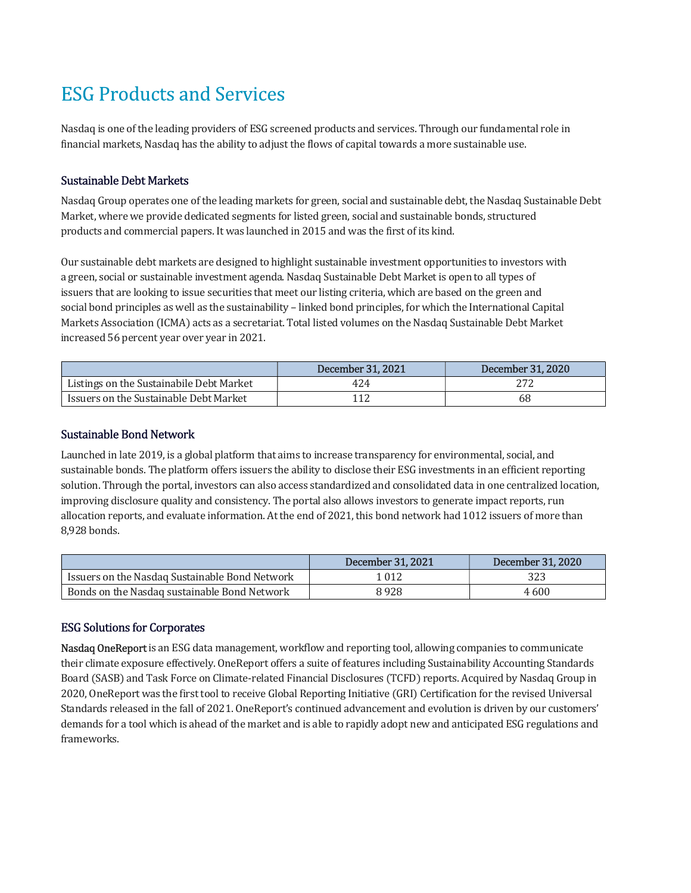# **ESG Products and Services**

Nasdaq is one of the leading providers of ESG screened products and services. Through our fundamental role in financial markets, Nasdaq has the ability to adjust the flows of capital towards a more sustainable use.

#### Sustainable Debt Markets

Nasdaq Group operates one of the leading markets for green, social and sustainable debt, the Nasdaq Sustainable Debt Market, where we provide dedicated segments for listed green, social and sustainable bonds, structured products and commercial papers. It was launched in 2015 and was the first of its kind.

Our sustainable debt markets are designed to highlight sustainable investment opportunities to investors with a green, social or sustainable investment agenda. Nasdaq Sustainable Debt Market is open to all types of issuers that are looking to issue securities that meet our listing criteria, which are based on the green and social bond principles as well as the sustainability – linked bond principles, for which the International Capital Markets Association (ICMA) acts as a secretariat. Total listed volumes on the Nasdaq Sustainable Debt Market increased 56 percent year over year in 2021.

|                                          | December 31, 2021 | December 31, 2020 |
|------------------------------------------|-------------------|-------------------|
| Listings on the Sustainabile Debt Market | 424               |                   |
| Issuers on the Sustainable Debt Market   |                   | 68                |

#### Sustainable Bond Network

Launched in late 2019, is a global platform that aims to increase transparency for environmental, social, and sustainable bonds. The platform offers issuers the ability to disclose their ESG investments in an efficient reporting solution. Through the portal, investors can also access standardized and consolidated data in one centralized location, improving disclosure quality and consistency. The portal also allows investors to generate impact reports, run allocation reports, and evaluate information. At the end of 2021, this bond network had 1012 issuers of more than 8,928 bonds.

|                                                | December 31, 2021 | December 31, 2020 |
|------------------------------------------------|-------------------|-------------------|
| Issuers on the Nasdaq Sustainable Bond Network | 1 012             | 323               |
| Bonds on the Nasdag sustainable Bond Network   | 8928              | 4600              |

#### ESG Solutions for Corporates

Nasdaq OneReport is an ESG data management, workflow and reporting tool, allowing companies to communicate their climate exposure effectively. OneReport offers a suite of features including Sustainability Accounting Standards Board (SASB) and Task Force on Climate-related Financial Disclosures (TCFD) reports. Acquired by Nasdaq Group in 2020, OneReport was the first tool to receive Global Reporting Initiative (GRI) Certification for the revised Universal Standards released in the fall of 2021. OneReport's continued advancement and evolution is driven by our customers' demands for a tool which is ahead of the market and is able to rapidly adopt new and anticipated ESG regulations and frameworks.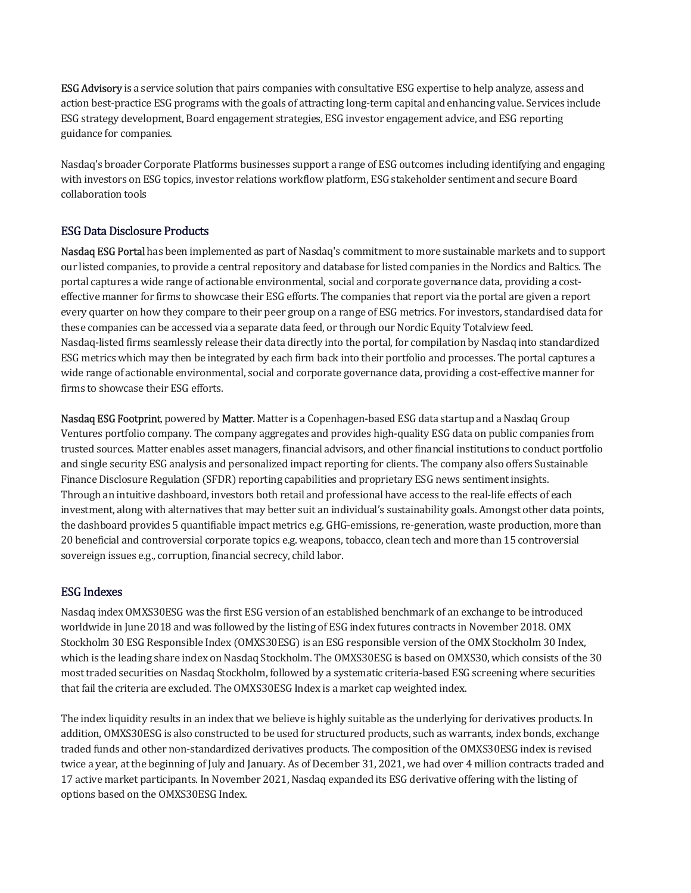**ESG Advisory** is a service solution that pairs companies with consultative ESG expertise to help analyze, assess and action best-practice ESG programs with the goals of attracting long-term capital and enhancing value. Services include ESG strategy development, Board engagement strategies, ESG investor engagement advice, and ESG reporting guidance for companies.

Nasdaq's broader Corporate Platforms businesses support a range of ESG outcomes including identifying and engaging with investors on ESG topics, investor relations workflow platform, ESG stakeholder sentiment and secure Board collaboration tools

#### ESG Data Disclosure Products

Nasdaq ESG Portal has been implemented as part of Nasdaq's commitment to more sustainable markets and to support our listed companies, to provide a central repository and database for listed companies in the Nordics and Baltics. The portal captures a wide range of actionable environmental, social and corporate governance data, providing a costeffective manner for firms to showcase their ESG efforts. The companies that report via the portal are given a report every quarter on how they compare to their peer group on a range of ESG metrics. For investors, standardised data for these companies can be accessed via a separate data feed, or through our Nordic Equity Totalview feed. Nasdaq-listed firms seamlessly release their data directly into the portal, for compilation by Nasdaq into standardized ESG metrics which may then be integrated by each firm back into their portfolio and processes. The portal captures a wide range of actionable environmental, social and corporate governance data, providing a cost-effective manner for firms to showcase their ESG efforts.

Nasdaq ESG Footprint, powered by Matter. Matter is a Copenhagen-based ESG data startup and a Nasdaq Group Ventures portfolio company. The company aggregates and provides high-quality ESG data on public companies from trusted sources. Matter enables asset managers, financial advisors, and other financial institutions to conduct portfolio and single security ESG analysis and personalized impact reporting for clients. The company also offers Sustainable Finance Disclosure Regulation (SFDR) reporting capabilities and proprietary ESG news sentiment insights. Through an intuitive dashboard, investors both retail and professional have access to the real-life effects of each investment, along with alternatives that may better suit an individual's sustainability goals. Amongst other data points, the dashboard provides 5 quantifiable impact metrics e.g. GHG-emissions, re-generation, waste production, more than 20 beneficial and controversial corporate topics e.g. weapons, tobacco, clean tech and more than 15 controversial sovereign issues e.g., corruption, financial secrecy, child labor.

#### ESG Indexes

Nasdaq index OMXS30ESG was the first ESG version of an established benchmark of an exchange to be introduced worldwide in June 2018 and was followed by the listing of ESG index futures contracts in November 2018. OMX Stockholm 30 ESG Responsible Index (OMXS30ESG) is an ESG responsible version of the OMX Stockholm 30 Index, which is the leading share index on Nasdaq Stockholm. The OMXS30ESG is based on OMXS30, which consists of the 30 most traded securities on Nasdaq Stockholm, followed by a systematic criteria-based ESG screening where securities that fail the criteria are excluded. The OMXS30ESG Index is a market cap weighted index.

The index liquidity results in an index that we believe is highly suitable as the underlying for derivatives products. In addition, OMXS30ESG is also constructed to be used for structured products, such as warrants, index bonds, exchange traded funds and other non-standardized derivatives products. The composition of the OMXS30ESG index is revised twice a year, at the beginning of July and January. As of December 31, 2021, we had over 4 million contracts traded and 17 active market participants. In November 2021, Nasdaq expanded its ESG derivative offering with the listing of options based on the OMXS30ESG Index.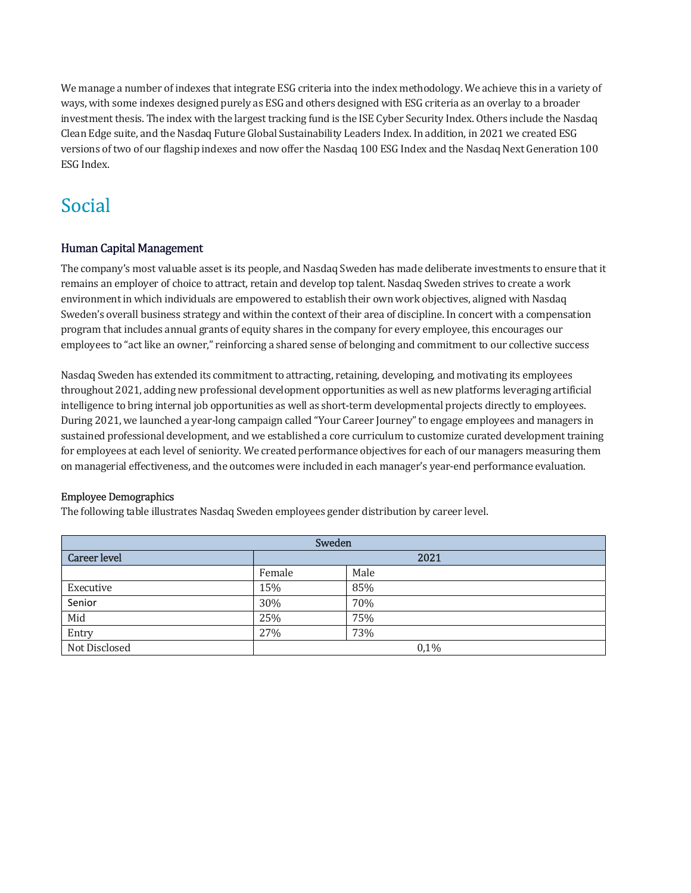We manage a number of indexes that integrate ESG criteria into the index methodology. We achieve this in a variety of ways, with some indexes designed purely as ESG and others designed with ESG criteria as an overlay to a broader investment thesis. The index with the largest tracking fund is the ISE Cyber Security Index. Others include the Nasdaq Clean Edge suite, and the Nasdaq Future Global Sustainability Leaders Index. In addition, in 2021 we created ESG versions of two of our flagship indexes and now offer the Nasdaq 100 ESG Index and the Nasdaq Next Generation 100 ESG Index.

# Social

#### Human Capital Management

The company's most valuable asset is its people, and Nasdaq Sweden has made deliberate investments to ensure that it remains an employer of choice to attract, retain and develop top talent. Nasdaq Sweden strives to create a work environment in which individuals are empowered to establish their own work objectives, aligned with Nasdaq Sweden's overall business strategy and within the context of their area of discipline. In concert with a compensation program that includes annual grants of equity shares in the company for every employee, this encourages our employees to "act like an owner," reinforcing a shared sense of belonging and commitment to our collective success

Nasdaq Sweden has extended its commitment to attracting, retaining, developing, and motivating its employees throughout 2021, adding new professional development opportunities as well as new platforms leveraging artificial intelligence to bring internal job opportunities as well as short-term developmental projects directly to employees. During 2021, we launched a year-long campaign called "Your Career Journey" to engage employees and managers in sustained professional development, and we established a core curriculum to customize curated development training for employees at each level of seniority. We created performance objectives for each of our managers measuring them on managerial effectiveness, and the outcomes were included in each manager's year-end performance evaluation.

#### Employee Demographics

The following table illustrates Nasdaq Sweden employees gender distribution by career level.

| Sweden              |        |      |  |
|---------------------|--------|------|--|
| <b>Career level</b> | 2021   |      |  |
|                     | Female | Male |  |
| Executive           | 15%    | 85%  |  |
| Senior              | 30%    | 70%  |  |
| Mid                 | 25%    | 75%  |  |
| Entry               | 27%    | 73%  |  |
| Not Disclosed       | 0,1%   |      |  |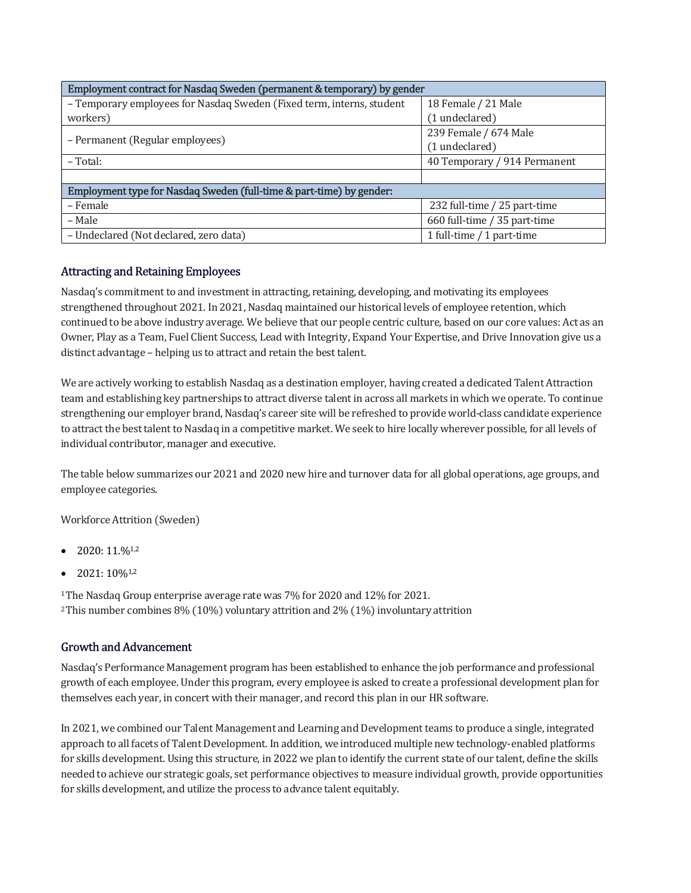| Employment contract for Nasdaq Sweden (permanent & temporary) by gender |                              |  |  |  |
|-------------------------------------------------------------------------|------------------------------|--|--|--|
| - Temporary employees for Nasdaq Sweden (Fixed term, interns, student   | 18 Female / 21 Male          |  |  |  |
| workers)                                                                | (1 undeclared)               |  |  |  |
|                                                                         | 239 Female / 674 Male        |  |  |  |
| - Permanent (Regular employees)                                         | (1 undeclared)               |  |  |  |
| $-Total:$                                                               | 40 Temporary / 914 Permanent |  |  |  |
|                                                                         |                              |  |  |  |
| Employment type for Nasdaq Sweden (full-time & part-time) by gender:    |                              |  |  |  |
| - Female                                                                | 232 full-time / 25 part-time |  |  |  |
| – Male                                                                  | 660 full-time / 35 part-time |  |  |  |
| - Undeclared (Not declared, zero data)                                  | 1 full-time / 1 part-time    |  |  |  |

#### Attracting and Retaining Employees

Nasdaq's commitment to and investment in attracting, retaining, developing, and motivating its employees strengthened throughout 2021. In 2021, Nasdaq maintained our historical levels of employee retention, which continued to be above industry average. We believe that our people centric culture, based on our core values: Act as an Owner, Play as a Team, Fuel Client Success, Lead with Integrity, Expand Your Expertise, and Drive Innovation give us a distinct advantage – helping us to attract and retain the best talent.

We are actively working to establish Nasdaq as a destination employer, having created a dedicated Talent Attraction team and establishing key partnerships to attract diverse talent in across all markets in which we operate. To continue strengthening our employer brand, Nasdaq's career site will be refreshed to provide world-class candidate experience to attract the best talent to Nasdaq in a competitive market. We seek to hire locally wherever possible, for all levels of individual contributor, manager and executive.

The table below summarizes our 2021 and 2020 new hire and turnover data for all global operations, age groups, and employee categories.

Workforce Attrition (Sweden)

- 2020: 11.%1,2
- 2021: 10%1,2

<sup>1</sup>The Nasdaq Group enterprise average rate was 7% for 2020 and 12% for 2021. <sup>2</sup>This number combines 8% (10%) voluntary attrition and 2% (1%) involuntary attrition

#### Growth and Advancement

Nasdaq's Performance Management program has been established to enhance the job performance and professional growth of each employee. Under this program, every employee is asked to create a professional development plan for themselves each year, in concert with their manager, and record this plan in our HR software.

In 2021, we combined our Talent Management and Learning and Development teams to produce a single, integrated approach to all facets of Talent Development. In addition, we introduced multiple new technology-enabled platforms for skills development. Using this structure, in 2022 we plan to identify the current state of our talent, define the skills needed to achieve our strategic goals, set performance objectives to measure individual growth, provide opportunities for skills development, and utilize the process to advance talent equitably.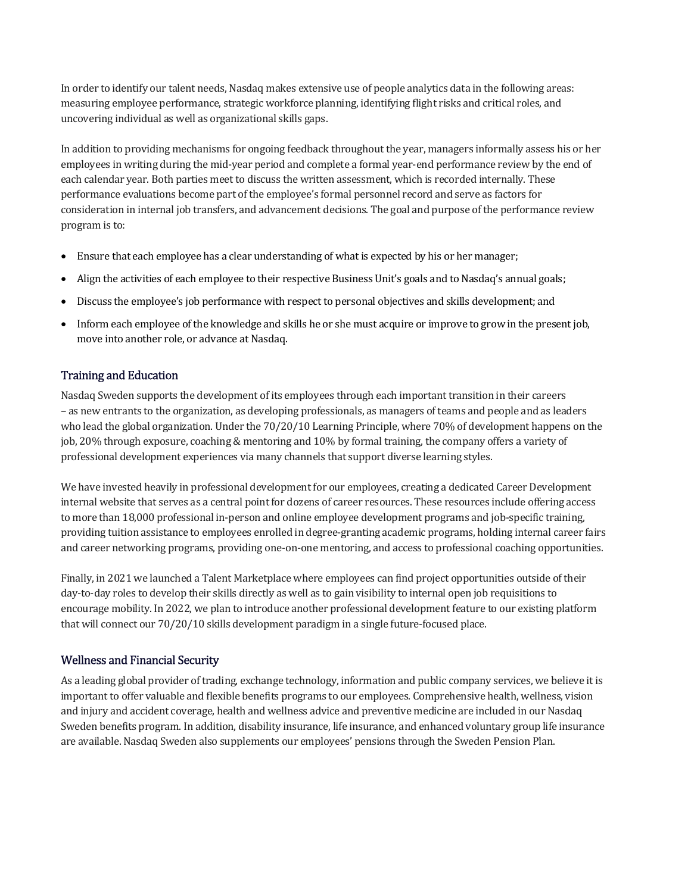In order to identify our talent needs, Nasdaq makes extensive use of people analytics data in the following areas: measuring employee performance, strategic workforce planning, identifying flight risks and critical roles, and uncovering individual as well as organizational skills gaps.

In addition to providing mechanisms for ongoing feedback throughout the year, managers informally assess his or her employees in writing during the mid-year period and complete a formal year-end performance review by the end of each calendar year. Both parties meet to discuss the written assessment, which is recorded internally. These performance evaluations become part of the employee's formal personnel record and serve as factors for consideration in internal job transfers, and advancement decisions. The goal and purpose of the performance review program is to:

- Ensure that each employee has a clear understanding of what is expected by his or her manager;
- Align the activities of each employee to their respective Business Unit's goals and to Nasdaq's annual goals;
- Discuss the employee's job performance with respect to personal objectives and skills development; and
- Inform each employee of the knowledge and skills he or she must acquire or improve to grow in the present job, move into another role, or advance at Nasdaq.

#### Training and Education

Nasdaq Sweden supports the development of its employees through each important transition in their careers – as new entrants to the organization, as developing professionals, as managers of teams and people and as leaders who lead the global organization. Under the 70/20/10 Learning Principle, where 70% of development happens on the job, 20% through exposure, coaching & mentoring and 10% by formal training, the company offers a variety of professional development experiences via many channels that support diverse learning styles.

We have invested heavily in professional development for our employees, creating a dedicated Career Development internal website that serves as a central point for dozens of career resources. These resources include offering access to more than 18,000 professional in-person and online employee development programs and job-specific training, providing tuition assistance to employees enrolled in degree-granting academic programs, holding internal career fairs and career networking programs, providing one-on-one mentoring, and access to professional coaching opportunities.

Finally, in 2021 we launched a Talent Marketplace where employees can find project opportunities outside of their day-to-day roles to develop their skills directly as well as to gain visibility to internal open job requisitions to encourage mobility. In 2022, we plan to introduce another professional development feature to our existing platform that will connect our 70/20/10 skills development paradigm in a single future-focused place.

#### Wellness and Financial Security

As a leading global provider of trading, exchange technology, information and public company services, we believe it is important to offer valuable and flexible benefits programs to our employees. Comprehensive health, wellness, vision and injury and accident coverage, health and wellness advice and preventive medicine are included in our Nasdaq Sweden benefits program. In addition, disability insurance, life insurance, and enhanced voluntary group life insurance are available. Nasdaq Sweden also supplements our employees' pensions through the Sweden Pension Plan.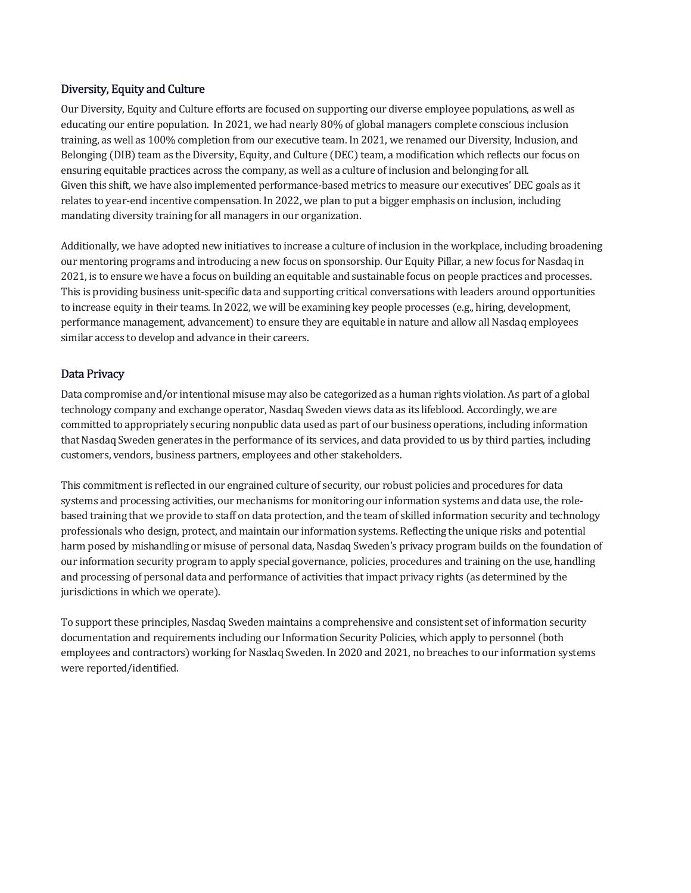#### Diversity, Equity and Culture

Our Diversity, Equity and Culture efforts are focused on supporting our diverse employee populations, as well as educating our entire population. In 2021, we had nearly 80% of global managers complete conscious inclusion training, as well as 100% completion from our executive team. In 2021, we renamed our Diversity, Inclusion, and Belonging (DIB) team as the Diversity, Equity, and Culture (DEC) team, a modification which reflects our focus on ensuring equitable practices across the company, as well as a culture of inclusion and belonging for all. Given this shift, we have also implemented performance-based metrics to measure our executives' DEC goals as it relates to year-end incentive compensation. In 2022, we plan to put a bigger emphasis on inclusion, including mandating diversity training for all managers in our organization.

Additionally, we have adopted new initiatives to increase a culture of inclusion in the workplace, including broadening our mentoring programs and introducing a new focus on sponsorship. Our Equity Pillar, a new focus for Nasdaq in 2021, is to ensure we have a focus on building an equitable and sustainable focus on people practices and processes. This is providing business unit-specific data and supporting critical conversations with leaders around opportunities to increase equity in their teams. In 2022, we will be examining key people processes (e.g., hiring, development, performance management, advancement) to ensure they are equitable in nature and allow all Nasdaq employees similar access to develop and advance in their careers.

#### Data Privacy

Data compromise and/or intentional misuse may also be categorized as a human rights violation. As part of a global technology company and exchange operator, Nasdaq Sweden views data as its lifeblood. Accordingly, we are committed to appropriately securing nonpublic data used as part of our business operations, including information that Nasdaq Sweden generates in the performance of its services, and data provided to us by third parties, including customers, vendors, business partners, employees and other stakeholders.

This commitment is reflected in our engrained culture of security, our robust policies and procedures for data systems and processing activities, our mechanisms for monitoring our information systems and data use, the rolebased training that we provide to staff on data protection, and the team of skilled information security and technology professionals who design, protect, and maintain our information systems. Reflecting the unique risks and potential harm posed by mishandling or misuse of personal data, Nasdaq Sweden's privacy program builds on the foundation of our information security program to apply special governance, policies, procedures and training on the use, handling and processing of personal data and performance of activities that impact privacy rights (as determined by the jurisdictions in which we operate).

To support these principles, Nasdaq Sweden maintains a comprehensive and consistent set of information security documentation and requirements including our Information Security Policies, which apply to personnel (both employees and contractors) working for Nasdaq Sweden. In 2020 and 2021, no breaches to our information systems were reported/identified.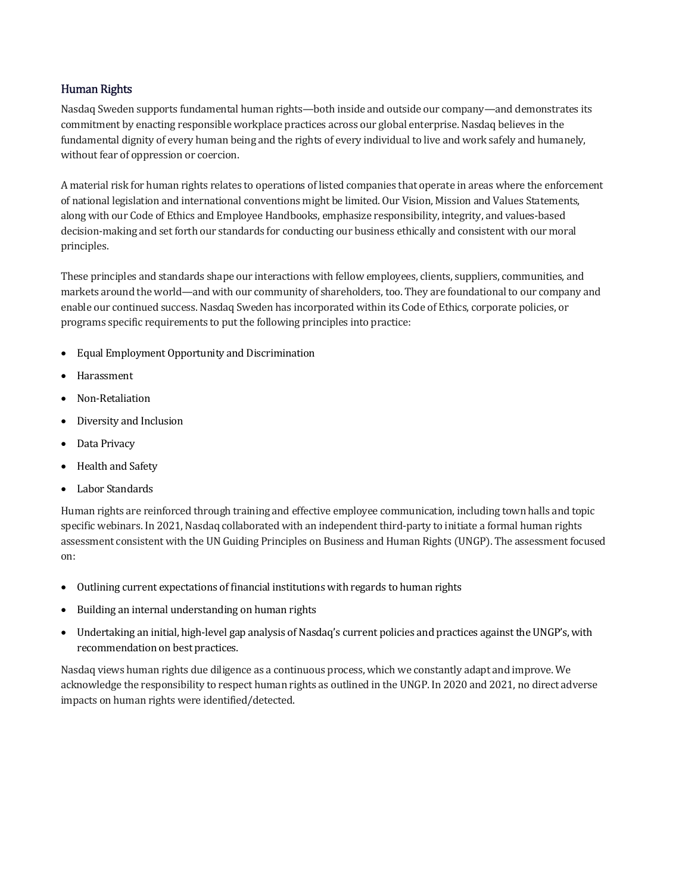#### Human Rights

Nasdaq Sweden supports fundamental human rights—both inside and outside our company—and demonstrates its commitment by enacting responsible workplace practices across our global enterprise. Nasdaq believes in the fundamental dignity of every human being and the rights of every individual to live and work safely and humanely, without fear of oppression or coercion.

A material risk for human rights relates to operations of listed companies that operate in areas where the enforcement of national legislation and international conventions might be limited. Our Vision, Mission and Values Statements, along with our Code of Ethics and Employee Handbooks, emphasize responsibility, integrity, and values-based decision-making and set forth our standards for conducting our business ethically and consistent with our moral principles.

These principles and standards shape our interactions with fellow employees, clients, suppliers, communities, and markets around the world—and with our community of shareholders, too. They are foundational to our company and enable our continued success. Nasdaq Sweden has incorporated within its Code of Ethics, corporate policies, or programs specific requirements to put the following principles into practice:

- Equal Employment Opportunity and Discrimination
- Harassment
- Non-Retaliation
- Diversity and Inclusion
- Data Privacy
- Health and Safety
- Labor Standards

Human rights are reinforced through training and effective employee communication, including town halls and topic specific webinars. In 2021, Nasdaq collaborated with an independent third-party to initiate a formal human rights assessment consistent with the UN Guiding Principles on Business and Human Rights (UNGP). The assessment focused on:

- Outlining current expectations of financial institutions with regards to human rights
- Building an internal understanding on human rights
- Undertaking an initial, high-level gap analysis of Nasdaq's current policies and practices against the UNGP's, with recommendation on best practices.

Nasdaq views human rights due diligence as a continuous process, which we constantly adapt and improve. We acknowledge the responsibility to respect human rights as outlined in the UNGP. In 2020 and 2021, no direct adverse impacts on human rights were identified/detected.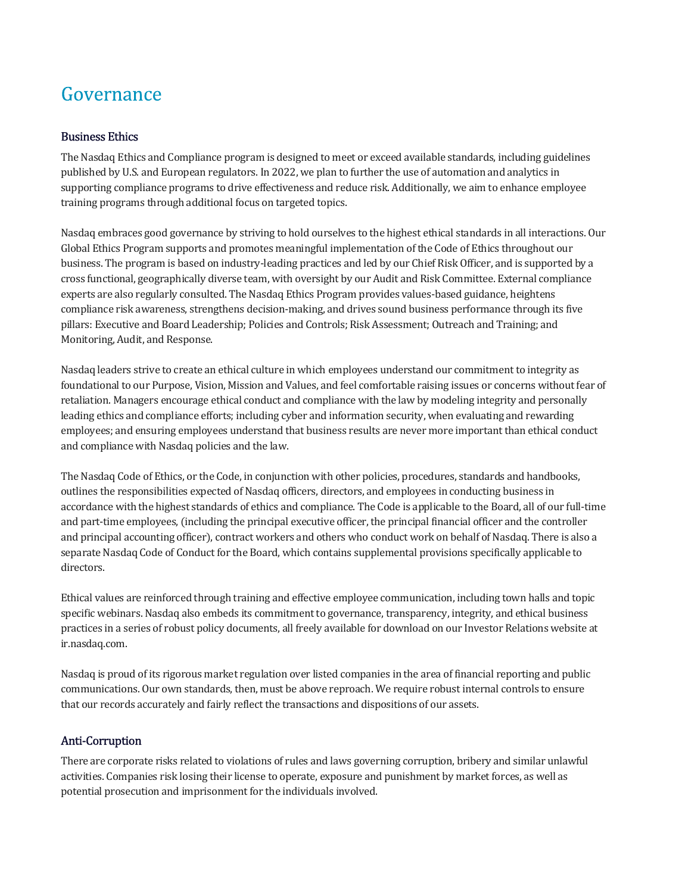### Governance

#### Business Ethics

The Nasdaq Ethics and Compliance program is designed to meet or exceed available standards, including guidelines published by U.S. and European regulators. In 2022, we plan to further the use of automation and analytics in supporting compliance programs to drive effectiveness and reduce risk. Additionally, we aim to enhance employee training programs through additional focus on targeted topics.

Nasdaq embraces good governance by striving to hold ourselves to the highest ethical standards in all interactions. Our Global Ethics Program supports and promotes meaningful implementation of the Code of Ethics throughout our business. The program is based on industry-leading practices and led by our Chief Risk Officer, and is supported by a cross functional, geographically diverse team, with oversight by our Audit and Risk Committee. External compliance experts are also regularly consulted. The Nasdaq Ethics Program provides values-based guidance, heightens compliance risk awareness, strengthens decision-making, and drives sound business performance through its five pillars: Executive and Board Leadership; Policies and Controls; Risk Assessment; Outreach and Training; and Monitoring, Audit, and Response.

Nasdaq leaders strive to create an ethical culture in which employees understand our commitment to integrity as foundational to our Purpose, Vision, Mission and Values, and feel comfortable raising issues or concerns without fear of retaliation. Managers encourage ethical conduct and compliance with the law by modeling integrity and personally leading ethics and compliance efforts; including cyber and information security, when evaluating and rewarding employees; and ensuring employees understand that business results are never more important than ethical conduct and compliance with Nasdaq policies and the law.

The Nasdaq Code of Ethics, or the Code, in conjunction with other policies, procedures, standards and handbooks, outlines the responsibilities expected of Nasdaq officers, directors, and employees in conducting business in accordance with the highest standards of ethics and compliance. The Code is applicable to the Board, all of our full-time and part-time employees, (including the principal executive officer, the principal financial officer and the controller and principal accounting officer), contract workers and others who conduct work on behalf of Nasdaq. There is also a separate Nasdaq Code of Conduct for the Board, which contains supplemental provisions specifically applicable to directors.

Ethical values are reinforced through training and effective employee communication, including town halls and topic specific webinars. Nasdaq also embeds its commitment to governance, transparency, integrity, and ethical business practices in a series of robust policy documents, all freely available for download on our Investor Relations website at ir.nasdaq.com.

Nasdaq is proud of its rigorous market regulation over listed companies in the area of financial reporting and public communications. Our own standards, then, must be above reproach. We require robust internal controls to ensure that our records accurately and fairly reflect the transactions and dispositions of our assets.

#### Anti-Corruption

There are corporate risks related to violations of rules and laws governing corruption, bribery and similar unlawful activities. Companies risk losing their license to operate, exposure and punishment by market forces, as well as potential prosecution and imprisonment for the individuals involved.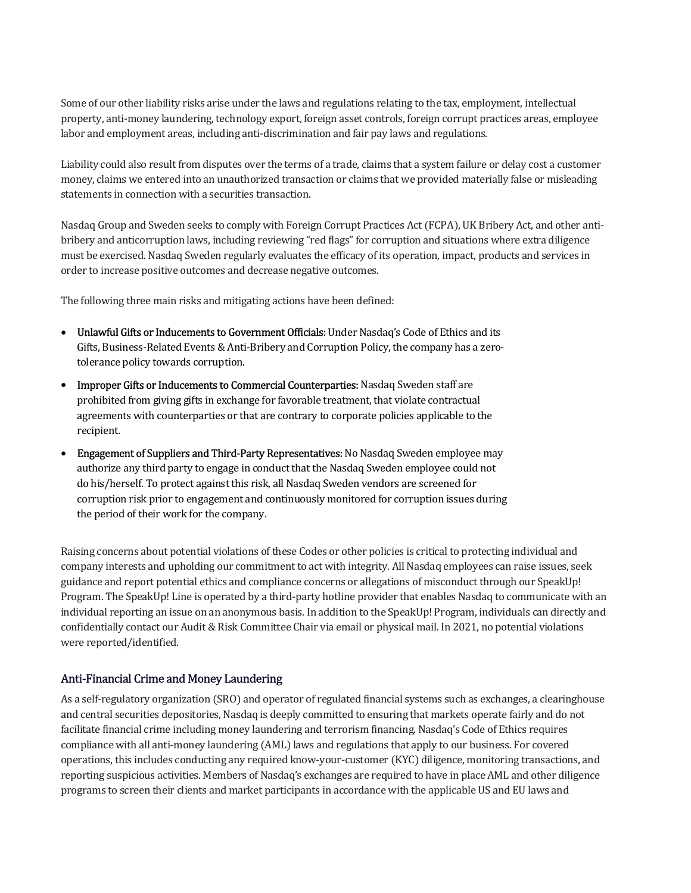Some of our other liability risks arise under the laws and regulations relating to the tax, employment, intellectual property, anti-money laundering, technology export, foreign asset controls, foreign corrupt practices areas, employee labor and employment areas, including anti-discrimination and fair pay laws and regulations.

Liability could also result from disputes over the terms of a trade, claims that a system failure or delay cost a customer money, claims we entered into an unauthorized transaction or claims that we provided materially false or misleading statements in connection with a securities transaction.

Nasdaq Group and Sweden seeks to comply with Foreign Corrupt Practices Act (FCPA), UK Bribery Act, and other antibribery and anticorruption laws, including reviewing "red flags" for corruption and situations where extra diligence must be exercised. Nasdaq Sweden regularly evaluates the efficacy of its operation, impact, products and services in order to increase positive outcomes and decrease negative outcomes.

The following three main risks and mitigating actions have been defined:

- Unlawful Gifts or Inducements to Government Officials: Under Nasdaq's Code of Ethics and its Gifts, Business-Related Events & Anti-Bribery and Corruption Policy, the company has a zerotolerance policy towards corruption.
- Improper Gifts or Inducements to Commercial Counterparties: Nasdaq Sweden staff are prohibited from giving gifts in exchange for favorable treatment, that violate contractual agreements with counterparties or that are contrary to corporate policies applicable to the recipient.
- Engagement of Suppliers and Third-Party Representatives: No Nasdaq Sweden employee may authorize any third party to engage in conduct that the Nasdaq Sweden employee could not do his/herself. To protect against this risk, all Nasdaq Sweden vendors are screened for corruption risk prior to engagement and continuously monitored for corruption issues during the period of their work for the company.

Raising concerns about potential violations of these Codes or other policies is critical to protecting individual and company interests and upholding our commitment to act with integrity. All Nasdaq employees can raise issues, seek guidance and report potential ethics and compliance concerns or allegations of misconduct through our SpeakUp! Program. The SpeakUp! Line is operated by a third-party hotline provider that enables Nasdaq to communicate with an individual reporting an issue on an anonymous basis. In addition to the SpeakUp! Program, individuals can directly and confidentially contact our Audit & Risk Committee Chair via email or physical mail. In 2021, no potential violations were reported/identified.

#### Anti-Financial Crime and Money Laundering

As a self-regulatory organization (SRO) and operator of regulated financial systems such as exchanges, a clearinghouse and central securities depositories, Nasdaq is deeply committed to ensuring that markets operate fairly and do not facilitate financial crime including money laundering and terrorism financing. Nasdaq's Code of Ethics requires compliance with all anti-money laundering (AML) laws and regulations that apply to our business. For covered operations, this includes conducting any required know-your-customer (KYC) diligence, monitoring transactions, and reporting suspicious activities. Members of Nasdaq's exchanges are required to have in place AML and other diligence programs to screen their clients and market participants in accordance with the applicable US and EU laws and